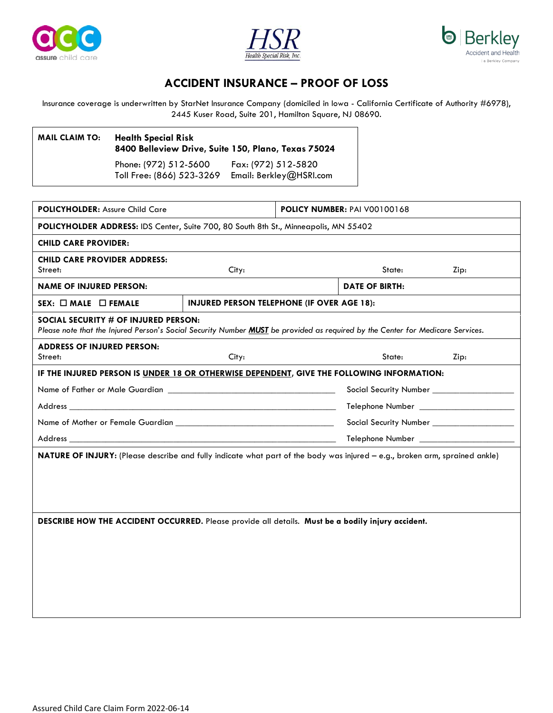





## **ACCIDENT INSURANCE – PROOF OF LOSS**

Insurance coverage is underwritten by StarNet Insurance Company (domiciled in Iowa - California Certificate of Authority #6978), 2445 Kuser Road, Suite 201, Hamilton Square, NJ 08690.

| <b>MAIL CLAIM TO:</b> | <b>Health Special Risk</b><br>8400 Belleview Drive, Suite 150, Plano, Texas 75024 |                                                |
|-----------------------|-----------------------------------------------------------------------------------|------------------------------------------------|
|                       | Phone: (972) 512-5600<br>Toll Free: (866) 523-3269                                | Fax: (972) 512-5820<br>Email: Berkley@HSRI.com |

**POLICYHOLDER:** Assure Child Care **POLICY NUMBER:** PAI V00100168 **POLICYHOLDER ADDRESS:** IDS Center, Suite 700, 80 South 8th St., Minneapolis, MN 55402 **CHILD CARE PROVIDER: CHILD CARE PROVIDER ADDRESS:** Street: City: State: Zip: **NAME OF INJURED PERSON: DATE OF BIRTH: SEX:**  $\Box$  **MALE**  $\Box$  **FEMALE INJURED PERSON TELEPHONE (IF OVER AGE 18): SOCIAL SECURITY # OF INJURED PERSON:** *Please note that the Injured Person's Social Security Number MUST be provided as required by the Center for Medicare Services.* **ADDRESS OF INJURED PERSON:** Street: City: State: Zip: **IF THE INJURED PERSON IS UNDER 18 OR OTHERWISE DEPENDENT, GIVE THE FOLLOWING INFORMATION:** Name of Father or Male Guardian \_\_\_\_\_\_\_\_\_\_\_\_\_\_\_\_\_\_\_\_\_\_\_\_\_\_\_\_\_\_\_\_\_\_\_\_\_ Social Security Number \_\_\_\_\_\_\_\_\_\_\_\_\_\_\_\_\_\_ Address \_\_\_\_\_\_\_\_\_\_\_\_\_\_\_\_\_\_\_\_\_\_\_\_\_\_\_\_\_\_\_\_\_\_\_\_\_\_\_\_\_\_\_\_\_\_\_\_\_\_\_\_\_\_\_\_\_\_\_ Telephone Number \_\_\_\_\_\_\_\_\_\_\_\_\_\_\_\_\_\_\_\_\_ Name of Mother or Female Guardian \_\_\_\_\_\_\_\_\_\_\_\_\_\_\_\_\_\_\_\_\_\_\_\_\_\_\_\_\_\_\_\_\_\_\_ Social Security Number \_\_\_\_\_\_\_\_\_\_\_\_\_\_\_\_\_\_ Address \_\_\_\_\_\_\_\_\_\_\_\_\_\_\_\_\_\_\_\_\_\_\_\_\_\_\_\_\_\_\_\_\_\_\_\_\_\_\_\_\_\_\_\_\_\_\_\_\_\_\_\_\_\_\_\_\_\_\_ Telephone Number \_\_\_\_\_\_\_\_\_\_\_\_\_\_\_\_\_\_\_\_\_ **NATURE OF INJURY:** (Please describe and fully indicate what part of the body was injured – e.g., broken arm, sprained ankle) **DESCRIBE HOW THE ACCIDENT OCCURRED.** Please provide all details. **Must be a bodily injury accident.**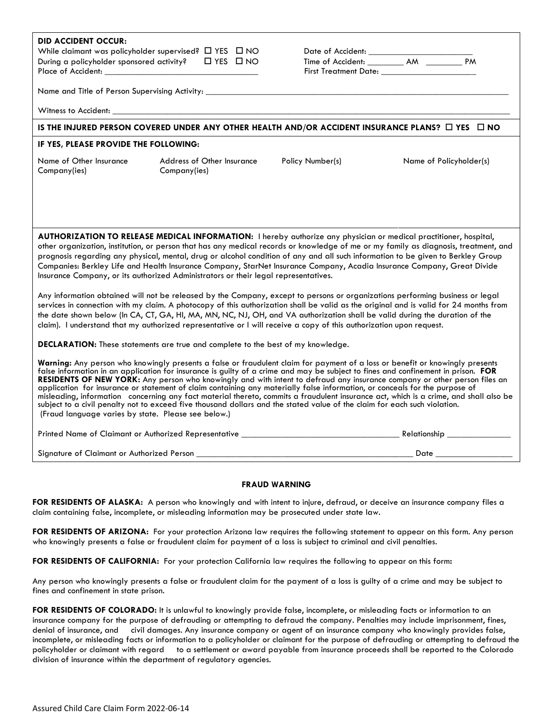| <b>DID ACCIDENT OCCUR:</b><br>While claimant was policyholder supervised? $\Box$ YES $\Box$ NO<br>During a policyholder sponsored activity? $\square$ YES $\square$ NO                                                                                                                                                                                                                                                                                                                                                                                                                                                                                                                                                                                                                                                                                      |                                                   |                  |                         |  |  |
|-------------------------------------------------------------------------------------------------------------------------------------------------------------------------------------------------------------------------------------------------------------------------------------------------------------------------------------------------------------------------------------------------------------------------------------------------------------------------------------------------------------------------------------------------------------------------------------------------------------------------------------------------------------------------------------------------------------------------------------------------------------------------------------------------------------------------------------------------------------|---------------------------------------------------|------------------|-------------------------|--|--|
|                                                                                                                                                                                                                                                                                                                                                                                                                                                                                                                                                                                                                                                                                                                                                                                                                                                             |                                                   |                  |                         |  |  |
|                                                                                                                                                                                                                                                                                                                                                                                                                                                                                                                                                                                                                                                                                                                                                                                                                                                             |                                                   |                  |                         |  |  |
| IS THE INJURED PERSON COVERED UNDER ANY OTHER HEALTH AND/OR ACCIDENT INSURANCE PLANS? □ YES □ NO                                                                                                                                                                                                                                                                                                                                                                                                                                                                                                                                                                                                                                                                                                                                                            |                                                   |                  |                         |  |  |
| IF YES, PLEASE PROVIDE THE FOLLOWING:                                                                                                                                                                                                                                                                                                                                                                                                                                                                                                                                                                                                                                                                                                                                                                                                                       |                                                   |                  |                         |  |  |
| Name of Other Insurance<br>Company(ies)                                                                                                                                                                                                                                                                                                                                                                                                                                                                                                                                                                                                                                                                                                                                                                                                                     | <b>Address of Other Insurance</b><br>Company(ies) | Policy Number(s) | Name of Policyholder(s) |  |  |
|                                                                                                                                                                                                                                                                                                                                                                                                                                                                                                                                                                                                                                                                                                                                                                                                                                                             |                                                   |                  |                         |  |  |
| AUTHORIZATION TO RELEASE MEDICAL INFORMATION: I hereby authorize any physician or medical practitioner, hospital,<br>other organization, institution, or person that has any medical records or knowledge of me or my family as diagnosis, treatment, and<br>prognosis regarding any physical, mental, drug or alcohol condition of any and all such information to be given to Berkley Group<br>Companies: Berkley Life and Health Insurance Company, StarNet Insurance Company, Acadia Insurance Company, Great Divide<br>Insurance Company, or its authorized Administrators or their legal representatives.                                                                                                                                                                                                                                             |                                                   |                  |                         |  |  |
| Any information obtained will not be released by the Company, except to persons or organizations performing business or legal<br>services in connection with my claim. A photocopy of this authorization shall be valid as the original and is valid for 24 months from<br>the date shown below (In CA, CT, GA, HI, MA, MN, NC, NJ, OH, and VA authorization shall be valid during the duration of the<br>claim). I understand that my authorized representative or I will receive a copy of this authorization upon request.                                                                                                                                                                                                                                                                                                                               |                                                   |                  |                         |  |  |
| DECLARATION: These statements are true and complete to the best of my knowledge.                                                                                                                                                                                                                                                                                                                                                                                                                                                                                                                                                                                                                                                                                                                                                                            |                                                   |                  |                         |  |  |
| Warning: Any person who knowingly presents a false or fraudulent claim for payment of a loss or benefit or knowingly presents<br>false information in an application for insurance is guilty of a crime and may be subject to fines and confinement in prison. FOR<br>RESIDENTS OF NEW YORK: Any person who knowingly and with intent to defraud any insurance company or other person files an<br>application for insurance or statement of claim containing any materially false information, or conceals for the purpose of<br>misleading, information concerning any fact material thereto, commits a fraudulent insurance act, which is a crime, and shall also be<br>subject to a civil penalty not to exceed five thousand dollars and the stated value of the claim for each such violation.<br>(Fraud language varies by state. Please see below.) |                                                   |                  |                         |  |  |
|                                                                                                                                                                                                                                                                                                                                                                                                                                                                                                                                                                                                                                                                                                                                                                                                                                                             |                                                   |                  |                         |  |  |
| Signature of Claimant or Authorized Person __________                                                                                                                                                                                                                                                                                                                                                                                                                                                                                                                                                                                                                                                                                                                                                                                                       |                                                   |                  | Date _________________  |  |  |

## **FRAUD WARNING**

**FOR RESIDENTS OF ALASKA:** A person who knowingly and with intent to injure, defraud, or deceive an insurance company files a claim containing false, incomplete, or misleading information may be prosecuted under state law.

FOR RESIDENTS OF ARIZONA: For your protection Arizona law requires the following statement to appear on this form. Any person who knowingly presents a false or fraudulent claim for payment of a loss is subject to criminal and civil penalties.

**FOR RESIDENTS OF CALIFORNIA:** For your protection California law requires the following to appear on this form**:** 

Any person who knowingly presents a false or fraudulent claim for the payment of a loss is guilty of a crime and may be subject to fines and confinement in state prison.

FOR RESIDENTS OF COLORADO: It is unlawful to knowingly provide false, incomplete, or misleading facts or information to an insurance company for the purpose of defrauding or attempting to defraud the company. Penalties may include imprisonment, fines, denial of insurance, and civil damages. Any insurance company or agent of an insurance company who knowingly provides false, incomplete, or misleading facts or information to a policyholder or claimant for the purpose of defrauding or attempting to defraud the policyholder or claimant with regard to a settlement or award payable from insurance proceeds shall be reported to the Colorado division of insurance within the department of regulatory agencies.